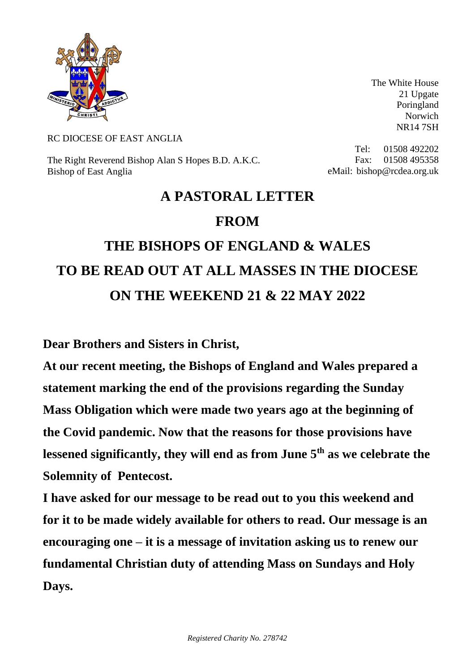

The White House 21 Upgate Poringland Norwich NR14 7SH

## RC DIOCESE OF EAST ANGLIA

The Right Reverend Bishop Alan S Hopes B.D. A.K.C. Bishop of East Anglia

Tel: 01508 492202 Fax: 01508 495358 eMail: bishop@rcdea.org.uk

## **A PASTORAL LETTER FROM**

## **THE BISHOPS OF ENGLAND & WALES TO BE READ OUT AT ALL MASSES IN THE DIOCESE ON THE WEEKEND 21 & 22 MAY 2022**

**Dear Brothers and Sisters in Christ,**

**At our recent meeting, the Bishops of England and Wales prepared a statement marking the end of the provisions regarding the Sunday Mass Obligation which were made two years ago at the beginning of the Covid pandemic. Now that the reasons for those provisions have lessened significantly, they will end as from June 5th as we celebrate the Solemnity of Pentecost.** 

**I have asked for our message to be read out to you this weekend and for it to be made widely available for others to read. Our message is an encouraging one – it is a message of invitation asking us to renew our fundamental Christian duty of attending Mass on Sundays and Holy Days.**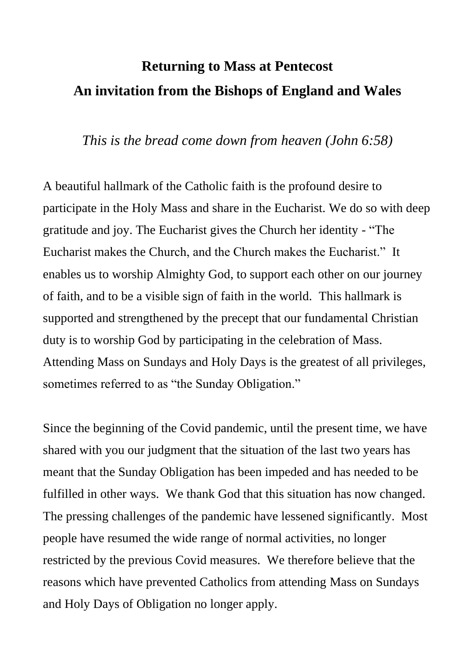## **Returning to Mass at Pentecost An invitation from the Bishops of England and Wales**

*This is the bread come down from heaven (John 6:58)*

A beautiful hallmark of the Catholic faith is the profound desire to participate in the Holy Mass and share in the Eucharist. We do so with deep gratitude and joy. The Eucharist gives the Church her identity - "The Eucharist makes the Church, and the Church makes the Eucharist." It enables us to worship Almighty God, to support each other on our journey of faith, and to be a visible sign of faith in the world. This hallmark is supported and strengthened by the precept that our fundamental Christian duty is to worship God by participating in the celebration of Mass. Attending Mass on Sundays and Holy Days is the greatest of all privileges, sometimes referred to as "the Sunday Obligation."

Since the beginning of the Covid pandemic, until the present time, we have shared with you our judgment that the situation of the last two years has meant that the Sunday Obligation has been impeded and has needed to be fulfilled in other ways. We thank God that this situation has now changed. The pressing challenges of the pandemic have lessened significantly. Most people have resumed the wide range of normal activities, no longer restricted by the previous Covid measures. We therefore believe that the reasons which have prevented Catholics from attending Mass on Sundays and Holy Days of Obligation no longer apply.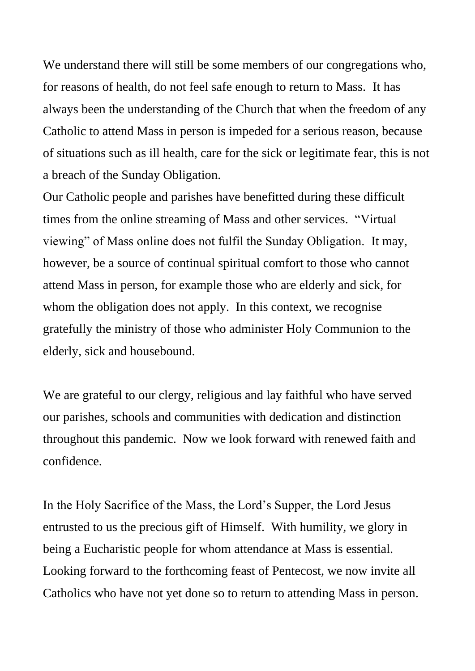We understand there will still be some members of our congregations who, for reasons of health, do not feel safe enough to return to Mass. It has always been the understanding of the Church that when the freedom of any Catholic to attend Mass in person is impeded for a serious reason, because of situations such as ill health, care for the sick or legitimate fear, this is not a breach of the Sunday Obligation.

Our Catholic people and parishes have benefitted during these difficult times from the online streaming of Mass and other services. "Virtual viewing" of Mass online does not fulfil the Sunday Obligation. It may, however, be a source of continual spiritual comfort to those who cannot attend Mass in person, for example those who are elderly and sick, for whom the obligation does not apply. In this context, we recognise gratefully the ministry of those who administer Holy Communion to the elderly, sick and housebound.

We are grateful to our clergy, religious and lay faithful who have served our parishes, schools and communities with dedication and distinction throughout this pandemic. Now we look forward with renewed faith and confidence.

In the Holy Sacrifice of the Mass, the Lord's Supper, the Lord Jesus entrusted to us the precious gift of Himself. With humility, we glory in being a Eucharistic people for whom attendance at Mass is essential. Looking forward to the forthcoming feast of Pentecost, we now invite all Catholics who have not yet done so to return to attending Mass in person.